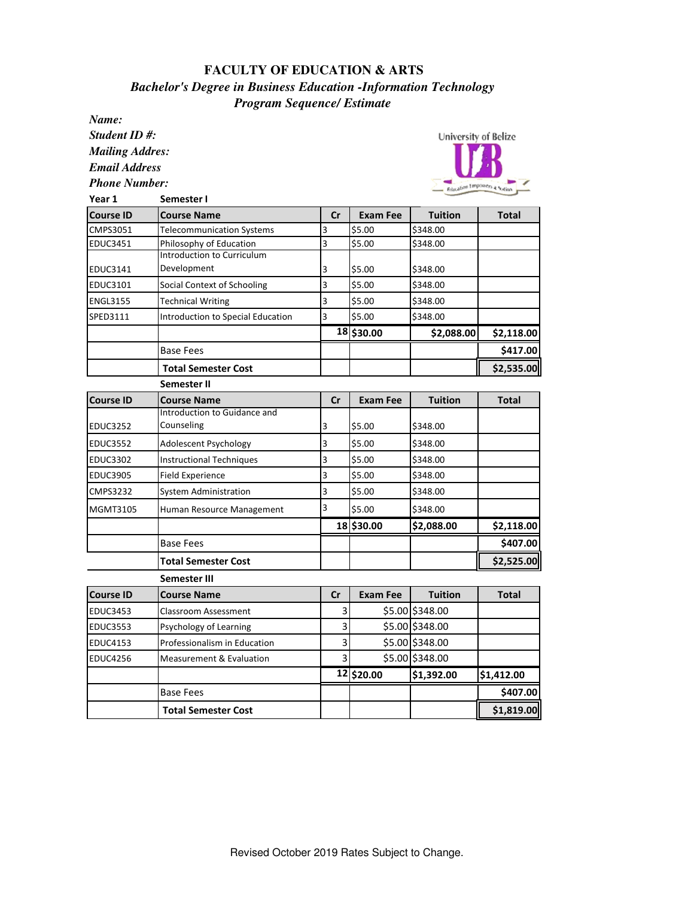## **FACULTY OF EDUCATION & ARTS** *Bachelor's Degree in Business Education -Information Technology Program Sequence/ Estimate*

*Name:*

*Student ID #: Mailing Addres: Email Address Phone Number:*



| Year 1           | Semester I                          |                         |                 |                 |              |
|------------------|-------------------------------------|-------------------------|-----------------|-----------------|--------------|
| <b>Course ID</b> | <b>Course Name</b>                  | cr                      | <b>Exam Fee</b> | <b>Tuition</b>  | <b>Total</b> |
| CMPS3051         | <b>Telecommunication Systems</b>    | 3                       | \$5.00          | \$348.00        |              |
| <b>EDUC3451</b>  | Philosophy of Education             | 3                       | \$5.00          | \$348.00        |              |
|                  | <b>Introduction to Curriculum</b>   |                         |                 |                 |              |
| EDUC3141         | Development                         | 3                       | \$5.00          | \$348.00        |              |
| EDUC3101         | Social Context of Schooling         | $\overline{\mathbf{3}}$ | \$5.00          | \$348.00        |              |
| <b>ENGL3155</b>  | Technical Writing                   | 3                       | \$5.00          | \$348.00        |              |
| SPED3111         | Introduction to Special Education   | $\overline{3}$          | \$5.00          | \$348.00        |              |
|                  |                                     |                         | 18 \$30.00      | \$2,088.00      | \$2,118.00   |
|                  | <b>Base Fees</b>                    |                         |                 |                 | \$417.00     |
|                  | <b>Total Semester Cost</b>          |                         |                 |                 | \$2,535.00   |
|                  | <b>Semester II</b>                  |                         |                 |                 |              |
| <b>Course ID</b> | <b>Course Name</b>                  | cr                      | <b>Exam Fee</b> | <b>Tuition</b>  | <b>Total</b> |
|                  | Introduction to Guidance and        |                         |                 |                 |              |
| <b>EDUC3252</b>  | Counseling                          | 3                       | \$5.00          | \$348.00        |              |
| <b>EDUC3552</b>  | Adolescent Psychology               | 3                       | \$5.00          | \$348.00        |              |
| <b>EDUC3302</b>  | <b>Instructional Techniques</b>     | 3                       | \$5.00          | \$348.00        |              |
| <b>EDUC3905</b>  | <b>Field Experience</b>             | 3                       | \$5.00          | \$348.00        |              |
| CMPS3232         | <b>System Administration</b>        | 3                       | \$5.00          | \$348.00        |              |
| MGMT3105         | Human Resource Management           | 3                       | \$5.00          | \$348.00        |              |
|                  |                                     |                         | 18 \$30.00      | \$2,088.00      | \$2,118.00   |
|                  | <b>Base Fees</b>                    |                         |                 |                 | \$407.00     |
|                  | <b>Total Semester Cost</b>          |                         |                 |                 | \$2,525.00   |
|                  | Semester III                        |                         |                 |                 |              |
| <b>Course ID</b> | <b>Course Name</b>                  | cr                      | <b>Exam Fee</b> | <b>Tuition</b>  | <b>Total</b> |
| <b>EDUC3453</b>  | <b>Classroom Assessment</b>         | 3                       |                 | \$5.00 \$348.00 |              |
| <b>EDUC3553</b>  | Psychology of Learning              | 3                       |                 | \$5.00 \$348.00 |              |
| EDUC4153         | Professionalism in Education        | 3                       |                 | \$5.00 \$348.00 |              |
| <b>EDUC4256</b>  | <b>Measurement &amp; Evaluation</b> | 3                       |                 | \$5.00 \$348.00 |              |
|                  |                                     |                         | 12 \$20.00      | \$1,392.00      | \$1,412.00   |
|                  | <b>Base Fees</b>                    |                         |                 |                 | \$407.00     |
|                  | <b>Total Semester Cost</b>          |                         |                 |                 | \$1,819.00   |